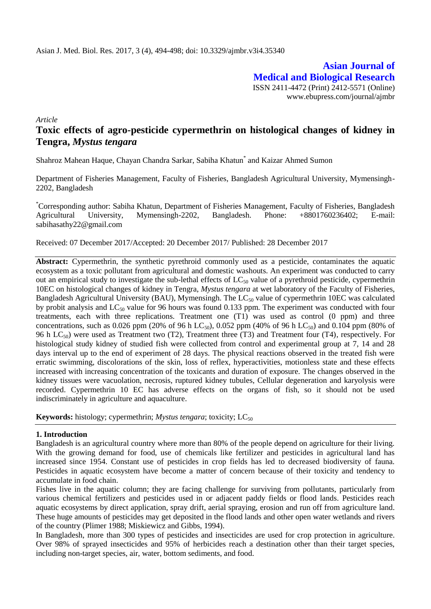**Asian Journal of Medical and Biological Research** ISSN 2411-4472 (Print) 2412-5571 (Online) www.ebupress.com/journal/ajmbr

*Article*

# **Toxic effects of agro-pesticide cypermethrin on histological changes of kidney in Tengra,** *Mystus tengara*

Shahroz Mahean Haque, Chayan Chandra Sarkar, Sabiha Khatun\* and Kaizar Ahmed Sumon

Department of Fisheries Management, Faculty of Fisheries, Bangladesh Agricultural University, Mymensingh-2202, Bangladesh

\*Corresponding author: Sabiha Khatun, Department of Fisheries Management, Faculty of Fisheries, Bangladesh Agricultural University, Mymensingh-2202, Bangladesh. Phone: +8801760236402; E-mail: sabihasathy22@gmail.com

Received: 07 December 2017/Accepted: 20 December 2017/ Published: 28 December 2017

**Abstract:** Cypermethrin, the synthetic pyrethroid commonly used as a pesticide, contaminates the aquatic ecosystem as a toxic pollutant from agricultural and domestic washouts. An experiment was conducted to carry out an empirical study to investigate the sub-lethal effects of  $LC_{50}$  value of a pyrethroid pesticide, cypermethrin 10EC on histological changes of kidney in Tengra, *Mystus tengara* at wet laboratory of the Faculty of Fisheries, Bangladesh Agricultural University (BAU), Mymensingh. The  $LC_{50}$  value of cypermethrin 10EC was calculated by probit analysis and  $LC_{50}$  value for 96 hours was found 0.133 ppm. The experiment was conducted with four treatments, each with three replications. Treatment one (T1) was used as control (0 ppm) and three concentrations, such as 0.026 ppm (20% of 96 h LC<sub>50</sub>), 0.052 ppm (40% of 96 h LC<sub>50</sub>) and 0.104 ppm (80% of 96 h  $LC_{50}$ ) were used as Treatment two (T2), Treatment three (T3) and Treatment four (T4), respectively. For histological study kidney of studied fish were collected from control and experimental group at 7, 14 and 28 days interval up to the end of experiment of 28 days. The physical reactions observed in the treated fish were erratic swimming, discolorations of the skin, loss of reflex, hyperactivities, motionless state and these effects increased with increasing concentration of the toxicants and duration of exposure. The changes observed in the kidney tissues were vacuolation, necrosis, ruptured kidney tubules, Cellular degeneration and karyolysis were recorded. Cypermethrin 10 EC has adverse effects on the organs of fish, so it should not be used indiscriminately in agriculture and aquaculture.

**Keywords:** histology; cypermethrin; *Mystus tengara*; toxicity; LC<sub>50</sub>

#### **1. Introduction**

Bangladesh is an agricultural country where more than 80% of the people depend on agriculture for their living. With the growing demand for food, use of chemicals like fertilizer and pesticides in agricultural land has increased since 1954. Constant use of pesticides in crop fields has led to decreased biodiversity of fauna. Pesticides in aquatic ecosystem have become a matter of concern because of their toxicity and tendency to accumulate in food chain.

Fishes live in the aquatic column; they are facing challenge for surviving from pollutants, particularly from various chemical fertilizers and pesticides used in or adjacent paddy fields or flood lands. Pesticides reach aquatic ecosystems by direct application, spray drift, aerial spraying, erosion and run off from agriculture land. These huge amounts of pesticides may get deposited in the flood lands and other open water wetlands and rivers of the country (Plimer 1988; Miskiewicz and Gibbs, 1994).

In Bangladesh, more than 300 types of pesticides and insecticides are used for crop protection in agriculture. Over 98% of sprayed insecticides and 95% of herbicides reach a destination other than their target species, including non-target species, air, water, bottom sediments, and food.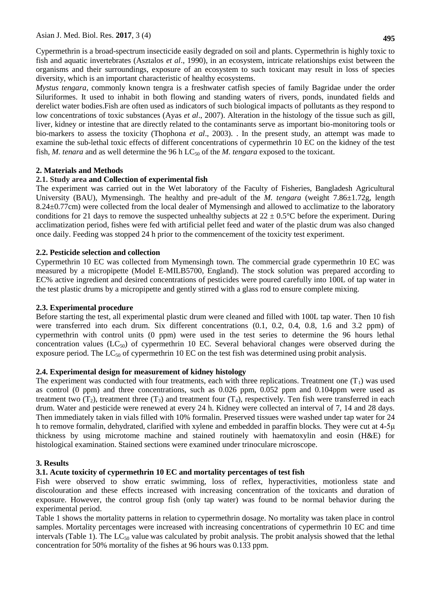Cypermethrin is a broad-spectrum insecticide easily degraded on soil and plants. Cypermethrin is highly toxic to fish and aquatic invertebrates (Asztalos *et al*., 1990), in an ecosystem, intricate relationships exist between the organisms and their surroundings, exposure of an ecosystem to such toxicant may result in loss of species diversity, which is an important characteristic of healthy ecosystems.

*Mystus tengara*, commonly known tengra is a freshwater catfish species of family Bagridae under the order Siluriformes. It used to inhabit in both flowing and standing waters of rivers, ponds, inundated fields and derelict water bodies.Fish are often used as indicators of such biological impacts of pollutants as they respond to low concentrations of toxic substances (Ayas *et al*., 2007). Alteration in the histology of the tissue such as gill, liver, kidney or intestine that are directly related to the contaminants serve as important bio-monitoring tools or bio-markers to assess the toxicity (Thophona *et al*., 2003). . In the present study, an attempt was made to examine the sub-lethal toxic effects of different concentrations of cypermethrin 10 EC on the kidney of the test fish, *M. tenara* and as well determine the 96 h LC<sub>50</sub> of the *M. tengara* exposed to the toxicant.

### **2. Materials and Methods**

### **2.1. Study area and Collection of experimental fish**

The experiment was carried out in the Wet laboratory of the Faculty of Fisheries, Bangladesh Agricultural University (BAU), Mymensingh. The healthy and pre-adult of the *M. tengara* (weight 7.86±1.72g, length 8.24±0.77cm) were collected from the local dealer of Mymensingh and allowed to acclimatize to the laboratory conditions for 21 days to remove the suspected unhealthy subjects at  $22 \pm 0.5^{\circ}$ C before the experiment. During acclimatization period, fishes were fed with artificial pellet feed and water of the plastic drum was also changed once daily. Feeding was stopped 24 h prior to the commencement of the toxicity test experiment.

### **2.2. Pesticide selection and collection**

Cypermethrin 10 EC was collected from Mymensingh town. The commercial grade cypermethrin 10 EC was measured by a micropipette (Model E-MILB5700, England). The stock solution was prepared according to EC% active ingredient and desired concentrations of pesticides were poured carefully into 100L of tap water in the test plastic drums by a micropipette and gently stirred with a glass rod to ensure complete mixing.

### **2.3. Experimental procedure**

Before starting the test, all experimental plastic drum were cleaned and filled with 100L tap water. Then 10 fish were transferred into each drum. Six different concentrations (0.1, 0.2, 0.4, 0.8, 1.6 and 3.2 ppm) of cypermethrin with control units (0 ppm) were used in the test series to determine the 96 hours lethal concentration values  $(LC_{50})$  of cypermethrin 10 EC. Several behavioral changes were observed during the exposure period. The  $LC_{50}$  of cypermethrin 10 EC on the test fish was determined using probit analysis.

#### **2.4. Experimental design for measurement of kidney histology**

The experiment was conducted with four treatments, each with three replications. Treatment one  $(T_1)$  was used as control (0 ppm) and three concentrations, such as 0.026 ppm, 0.052 ppm and 0.104ppm were used as treatment two  $(T_2)$ , treatment three  $(T_3)$  and treatment four  $(T_4)$ , respectively. Ten fish were transferred in each drum. Water and pesticide were renewed at every 24 h. Kidney were collected an interval of 7, 14 and 28 days. Then immediately taken in vials filled with 10% formalin. Preserved tissues were washed under tap water for 24 h to remove formalin, dehydrated, clarified with xylene and embedded in paraffin blocks. They were cut at 4-5μ thickness by using microtome machine and stained routinely with haematoxylin and eosin (H&E) for histological examination. Stained sections were examined under trinoculare microscope.

#### **3. Results**

# **3.1. Acute toxicity of cypermethrin 10 EC and mortality percentages of test fish**

Fish were observed to show erratic swimming, loss of reflex, hyperactivities, motionless state and discolouration and these effects increased with increasing concentration of the toxicants and duration of exposure. However, the control group fish (only tap water) was found to be normal behavior during the experimental period.

Table 1 shows the mortality patterns in relation to cypermethrin dosage. No mortality was taken place in control samples. Mortality percentages were increased with increasing concentrations of cypermethrin 10 EC and time intervals (Table 1). The  $LC_{50}$  value was calculated by probit analysis. The probit analysis showed that the lethal concentration for 50% mortality of the fishes at 96 hours was 0.133 ppm.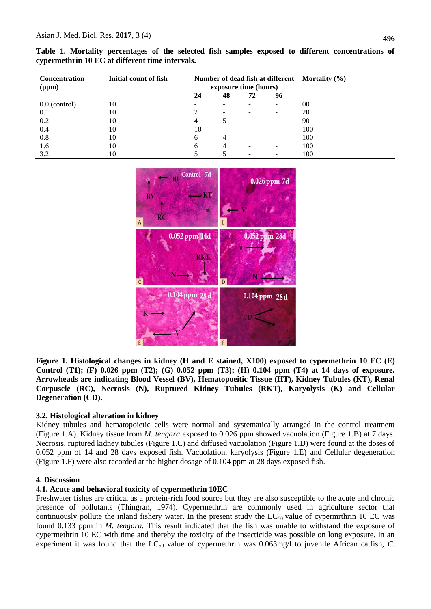|  |                                                 |  |  |  |  | Table 1. Mortality percentages of the selected fish samples exposed to different concentrations of |  |
|--|-------------------------------------------------|--|--|--|--|----------------------------------------------------------------------------------------------------|--|
|  | cypermethrin 10 EC at different time intervals. |  |  |  |  |                                                                                                    |  |

| <b>Concentration</b><br>(ppm) | Initial count of fish |    | exposure time (hours)    |    | Number of dead fish at different Mortality (%) |     |
|-------------------------------|-----------------------|----|--------------------------|----|------------------------------------------------|-----|
|                               |                       | 24 | 48                       | 72 | 96                                             |     |
| $0.0$ (control)               | 10                    |    |                          |    |                                                | 00  |
| 0.1                           | 10                    |    | -                        |    |                                                | 20  |
| 0.2                           | 10                    |    |                          |    |                                                | 90  |
| 0.4                           | 10                    | 10 | $\overline{\phantom{0}}$ |    |                                                | 100 |
| 0.8                           | 10                    | h. | 4                        |    |                                                | 100 |
| 1.6                           | 10                    | h  | 4                        |    |                                                | 100 |
| 3.2                           | 10                    |    |                          |    |                                                | 100 |



**Figure 1. Histological changes in kidney (H and E stained, X100) exposed to cypermethrin 10 EC (E) Control (T1); (F) 0.026 ppm (T2); (G) 0.052 ppm (T3); (H) 0.104 ppm (T4) at 14 days of exposure. Arrowheads are indicating Blood Vessel (BV), Hematopoeitic Tissue (HT), Kidney Tubules (KT), Renal Corpuscle (RC), Necrosis (N), Ruptured Kidney Tubules (RKT), Karyolysis (K) and Cellular Degeneration (CD).**

# **3.2. Histological alteration in kidney**

Kidney tubules and hematopoietic cells were normal and systematically arranged in the control treatment (Figure 1.A). Kidney tissue from *M. tengara* exposed to 0.026 ppm showed vacuolation (Figure 1.B) at 7 days. Necrosis, ruptured kidney tubules (Figure 1.C) and diffused vacuolation (Figure 1.D) were found at the doses of 0.052 ppm of 14 and 28 days exposed fish. Vacuolation, karyolysis (Figure 1.E) and Cellular degeneration (Figure 1.F) were also recorded at the higher dosage of 0.104 ppm at 28 days exposed fish.

# **4. Discussion**

# **4.1. Acute and behavioral toxicity of cypermethrin 10EC**

Freshwater fishes are critical as a protein-rich food source but they are also susceptible to the acute and chronic presence of pollutants (Thingran, 1974). Cypermethrin are commonly used in agriculture sector that continuously pollute the inland fishery water. In the present study the  $LC_{50}$  value of cypermrthrin 10 EC was found 0.133 ppm in *M. tengara.* This result indicated that the fish was unable to withstand the exposure of cypermethrin 10 EC with time and thereby the toxicity of the insecticide was possible on long exposure. In an experiment it was found that the LC<sub>50</sub> value of cypermethrin was 0.063mg/l to juvenile African catfish, *C*.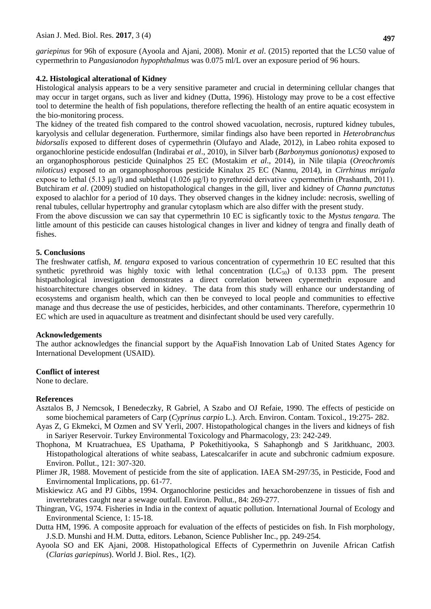*gariepinus* for 96h of exposure (Ayoola and Ajani, 2008). Monir *et al*. (2015) reported that the LC50 value of cypermethrin to *Pangasianodon hypophthalmus* was 0.075 ml/L over an exposure period of 96 hours.

#### **4.2. Histological alterational of Kidney**

Histological analysis appears to be a very sensitive parameter and crucial in determining cellular changes that may occur in target organs, such as liver and kidney (Dutta, 1996). Histology may prove to be a cost effective tool to determine the health of fish populations, therefore reflecting the health of an entire aquatic ecosystem in the bio-monitoring process.

The kidney of the treated fish compared to the control showed vacuolation, necrosis, ruptured kidney tubules, karyolysis and cellular degeneration. Furthermore, similar findings also have been reported in *Heterobranchus bidorsalis* exposed to different doses of cypermethrin (Olufayo and Alade, 2012), in Labeo rohita exposed to organochlorine pesticide endosulfan (Indirabai *et al*., 2010), in Silver barb (*Barbonymus gonionotus)* exposed to an organophosphorous pesticide Quinalphos 25 EC (Mostakim *et al*., 2014), in Nile tilapia (*Oreochromis niloticus)* exposed to an organophosphorous pesticide Kinalux 25 EC (Nannu, 2014), in *Cirrhinus mrigala* expose to lethal (5.13 μg/l) and sublethal (1.026 μg/l) to pyrethroid derivative cypermethrin (Prashanth, 2011). Butchiram *et al*. (2009) studied on histopathological changes in the gill, liver and kidney of *Channa punctatus* exposed to alachlor for a period of 10 days. They observed changes in the kidney include: necrosis, swelling of renal tubules, cellular hypertrophy and granular cytoplasm which are also differ with the present study.

From the above discussion we can say that cypermethrin 10 EC is sigficantly toxic to the *Mystus tengara.* The little amount of this pesticide can causes histological changes in liver and kidney of tengra and finally death of fishes.

#### **5. Conclusions**

The freshwater catfish, *M. tengara* exposed to various concentration of cypermethrin 10 EC resulted that this synthetic pyrethroid was highly toxic with lethal concentration  $(LC_{50})$  of 0.133 ppm. The present histpathological investigation demonstrates a direct correlation between cypermethrin exposure and histoarchitecture changes observed in kidney. The data from this study will enhance our understanding of ecosystems and organism health, which can then be conveyed to local people and communities to effective manage and thus decrease the use of pesticides, herbicides, and other contaminants. Therefore, cypermethrin 10 EC which are used in aquaculture as treatment and disinfectant should be used very carefully.

#### **Acknowledgements**

The author acknowledges the financial support by the AquaFish Innovation Lab of United States Agency for International Development (USAID).

#### **Conflict of interest**

None to declare.

#### **References**

- Asztalos B, J Nemcsok, I Benedeczky, R Gabriel, A Szabo and OJ Refaie, 1990. The effects of pesticide on some biochemical parameters of Carp (*Cyprinus carpio* L.). Arch. Environ. Contam. Toxicol., 19:275- 282.
- Ayas Z, G Ekmekci, M Ozmen and SV Yerli, 2007. Histopathological changes in the livers and kidneys of fish in Sariyer Reservoir. Turkey Environmental Toxicology and Pharmacology, 23: 242-249.
- Thophona, M Kruatrachuea, ES Upathama, P Pokethitiyooka, S Sahaphongb and S Jaritkhuanc, 2003. Histopathological alterations of white seabass, Latescalcarifer in acute and subchronic cadmium exposure. Environ. Pollut., 121: 307-320.
- Plimer JR, 1988. Movement of pesticide from the site of application. IAEA SM-297/35, in Pesticide, Food and Envirnomental Implications, pp. 61-77.
- Miskiewicz AG and PJ Gibbs, 1994. Organochlorine pesticides and hexachorobenzene in tissues of fish and invertebrates caught near a sewage outfall. Environ. Pollut., 84: 269-277.
- Thingran, VG, 1974. Fisheries in India in the context of aquatic pollution. International Journal of Ecology and Environmental Science, 1: 15-18.
- Dutta HM, 1996. A composite approach for evaluation of the effects of pesticides on fish. In Fish morphology, J.S.D. Munshi and H.M. Dutta, editors. Lebanon, Science Publisher Inc., pp. 249-254.
- Ayoola SO and EK Ajani, 2008. Histopathological Effects of Cypermethrin on Juvenile African Catfish (*Clarias gariepinus*). World J. Biol. Res., 1(2).